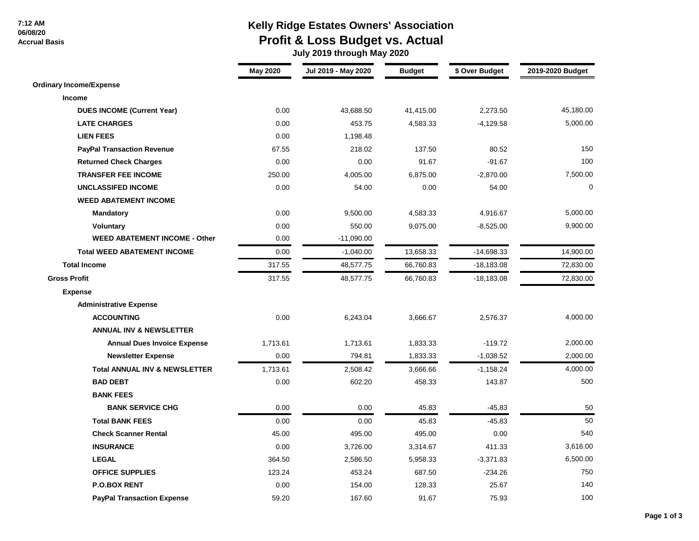### **7:12 AM 06/08/20**

 **Accrual Basis**

## **Kelly Ridge Estates Owners' Association Profit & Loss Budget vs. Actual**

 **July 2019 through May 2020**

|                                          | <b>May 2020</b> | Jul 2019 - May 2020 | <b>Budget</b> | \$ Over Budget | 2019-2020 Budget |
|------------------------------------------|-----------------|---------------------|---------------|----------------|------------------|
| <b>Ordinary Income/Expense</b>           |                 |                     |               |                |                  |
| <b>Income</b>                            |                 |                     |               |                |                  |
| <b>DUES INCOME (Current Year)</b>        | 0.00            | 43,688.50           | 41,415.00     | 2,273.50       | 45,180.00        |
| <b>LATE CHARGES</b>                      | 0.00            | 453.75              | 4,583.33      | $-4,129.58$    | 5,000.00         |
| <b>LIEN FEES</b>                         | 0.00            | 1,198.48            |               |                |                  |
| <b>PayPal Transaction Revenue</b>        | 67.55           | 218.02              | 137.50        | 80.52          | 150              |
| <b>Returned Check Charges</b>            | 0.00            | 0.00                | 91.67         | $-91.67$       | 100              |
| <b>TRANSFER FEE INCOME</b>               | 250.00          | 4,005.00            | 6,875.00      | $-2,870.00$    | 7,500.00         |
| <b>UNCLASSIFED INCOME</b>                | 0.00            | 54.00               | 0.00          | 54.00          | $\Omega$         |
| <b>WEED ABATEMENT INCOME</b>             |                 |                     |               |                |                  |
| <b>Mandatory</b>                         | 0.00            | 9,500.00            | 4,583.33      | 4,916.67       | 5,000.00         |
| <b>Voluntary</b>                         | 0.00            | 550.00              | 9,075.00      | $-8,525.00$    | 9,900.00         |
| <b>WEED ABATEMENT INCOME - Other</b>     | 0.00            | $-11,090.00$        |               |                |                  |
| <b>Total WEED ABATEMENT INCOME</b>       | 0.00            | $-1,040.00$         | 13,658.33     | $-14,698.33$   | 14,900.00        |
| <b>Total Income</b>                      | 317.55          | 48,577.75           | 66,760.83     | $-18,183.08$   | 72,830.00        |
| <b>Gross Profit</b>                      | 317.55          | 48,577.75           | 66,760.83     | $-18,183.08$   | 72,830.00        |
| <b>Expense</b>                           |                 |                     |               |                |                  |
| <b>Administrative Expense</b>            |                 |                     |               |                |                  |
| <b>ACCOUNTING</b>                        | 0.00            | 6,243.04            | 3,666.67      | 2,576.37       | 4,000.00         |
| <b>ANNUAL INV &amp; NEWSLETTER</b>       |                 |                     |               |                |                  |
| <b>Annual Dues Invoice Expense</b>       | 1,713.61        | 1,713.61            | 1,833.33      | $-119.72$      | 2,000.00         |
| <b>Newsletter Expense</b>                | 0.00            | 794.81              | 1,833.33      | $-1,038.52$    | 2,000.00         |
| <b>Total ANNUAL INV &amp; NEWSLETTER</b> | 1,713.61        | 2,508.42            | 3,666.66      | $-1,158.24$    | 4,000.00         |
| <b>BAD DEBT</b>                          | 0.00            | 602.20              | 458.33        | 143.87         | 500              |
| <b>BANK FEES</b>                         |                 |                     |               |                |                  |
| <b>BANK SERVICE CHG</b>                  | 0.00            | 0.00                | 45.83         | $-45.83$       | 50               |
| <b>Total BANK FEES</b>                   | 0.00            | 0.00                | 45.83         | $-45.83$       | 50               |
| <b>Check Scanner Rental</b>              | 45.00           | 495.00              | 495.00        | 0.00           | 540              |
| <b>INSURANCE</b>                         | 0.00            | 3,726.00            | 3,314.67      | 411.33         | 3,616.00         |
| <b>LEGAL</b>                             | 364.50          | 2,586.50            | 5,958.33      | $-3,371.83$    | 6,500.00         |
| <b>OFFICE SUPPLIES</b>                   | 123.24          | 453.24              | 687.50        | $-234.26$      | 750              |
| <b>P.O.BOX RENT</b>                      | 0.00            | 154.00              | 128.33        | 25.67          | 140              |
| <b>PayPal Transaction Expense</b>        | 59.20           | 167.60              | 91.67         | 75.93          | 100              |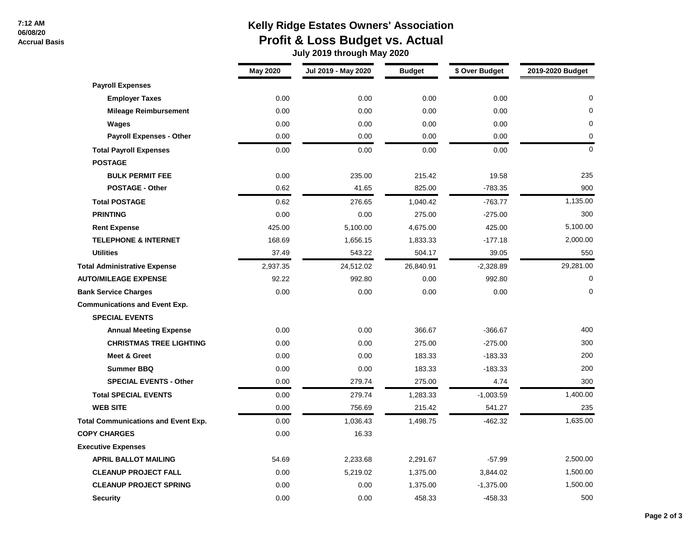#### **7:12 AM 06/08/20**

 **Accrual Basis**

# **Kelly Ridge Estates Owners' Association Profit & Loss Budget vs. Actual**

 **July 2019 through May 2020**

|                                            | <b>May 2020</b> | Jul 2019 - May 2020 | <b>Budget</b> | \$ Over Budget | 2019-2020 Budget |
|--------------------------------------------|-----------------|---------------------|---------------|----------------|------------------|
| <b>Payroll Expenses</b>                    |                 |                     |               |                |                  |
| <b>Employer Taxes</b>                      | 0.00            | 0.00                | 0.00          | 0.00           | $\mathbf{0}$     |
| <b>Mileage Reimbursement</b>               | 0.00            | 0.00                | 0.00          | 0.00           | $\Omega$         |
| Wages                                      | 0.00            | 0.00                | 0.00          | 0.00           | 0                |
| <b>Payroll Expenses - Other</b>            | 0.00            | 0.00                | 0.00          | 0.00           | 0                |
| <b>Total Payroll Expenses</b>              | 0.00            | 0.00                | 0.00          | 0.00           | $\mathbf 0$      |
| <b>POSTAGE</b>                             |                 |                     |               |                |                  |
| <b>BULK PERMIT FEE</b>                     | 0.00            | 235.00              | 215.42        | 19.58          | 235              |
| <b>POSTAGE - Other</b>                     | 0.62            | 41.65               | 825.00        | $-783.35$      | 900              |
| <b>Total POSTAGE</b>                       | 0.62            | 276.65              | 1,040.42      | $-763.77$      | 1,135.00         |
| <b>PRINTING</b>                            | 0.00            | 0.00                | 275.00        | $-275.00$      | 300              |
| <b>Rent Expense</b>                        | 425.00          | 5,100.00            | 4,675.00      | 425.00         | 5,100.00         |
| <b>TELEPHONE &amp; INTERNET</b>            | 168.69          | 1,656.15            | 1,833.33      | $-177.18$      | 2,000.00         |
| <b>Utilities</b>                           | 37.49           | 543.22              | 504.17        | 39.05          | 550              |
| <b>Total Administrative Expense</b>        | 2,937.35        | 24,512.02           | 26,840.91     | $-2,328.89$    | 29,281.00        |
| <b>AUTO/MILEAGE EXPENSE</b>                | 92.22           | 992.80              | 0.00          | 992.80         | $\mathbf 0$      |
| <b>Bank Service Charges</b>                | 0.00            | 0.00                | 0.00          | 0.00           | 0                |
| <b>Communications and Event Exp.</b>       |                 |                     |               |                |                  |
| <b>SPECIAL EVENTS</b>                      |                 |                     |               |                |                  |
| <b>Annual Meeting Expense</b>              | 0.00            | 0.00                | 366.67        | $-366.67$      | 400              |
| <b>CHRISTMAS TREE LIGHTING</b>             | 0.00            | 0.00                | 275.00        | $-275.00$      | 300              |
| <b>Meet &amp; Greet</b>                    | 0.00            | 0.00                | 183.33        | $-183.33$      | 200              |
| <b>Summer BBQ</b>                          | 0.00            | 0.00                | 183.33        | $-183.33$      | 200              |
| <b>SPECIAL EVENTS - Other</b>              | 0.00            | 279.74              | 275.00        | 4.74           | 300              |
| <b>Total SPECIAL EVENTS</b>                | 0.00            | 279.74              | 1,283.33      | $-1,003.59$    | 1,400.00         |
| <b>WEB SITE</b>                            | 0.00            | 756.69              | 215.42        | 541.27         | 235              |
| <b>Total Communications and Event Exp.</b> | 0.00            | 1,036.43            | 1,498.75      | $-462.32$      | 1,635.00         |
| <b>COPY CHARGES</b>                        | 0.00            | 16.33               |               |                |                  |
| <b>Executive Expenses</b>                  |                 |                     |               |                |                  |
| <b>APRIL BALLOT MAILING</b>                | 54.69           | 2,233.68            | 2,291.67      | $-57.99$       | 2,500.00         |
| <b>CLEANUP PROJECT FALL</b>                | 0.00            | 5,219.02            | 1,375.00      | 3,844.02       | 1,500.00         |
| <b>CLEANUP PROJECT SPRING</b>              | 0.00            | 0.00                | 1,375.00      | $-1,375.00$    | 1,500.00         |
| <b>Security</b>                            | 0.00            | 0.00                | 458.33        | -458.33        | 500              |